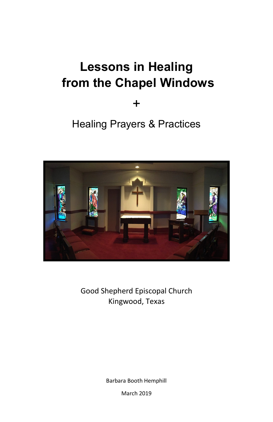## **Lessons in Healing from the Chapel Windows**

+

## Healing Prayers & Practices



Good Shepherd Episcopal Church Kingwood, Texas

Barbara Booth Hemphill

March 2019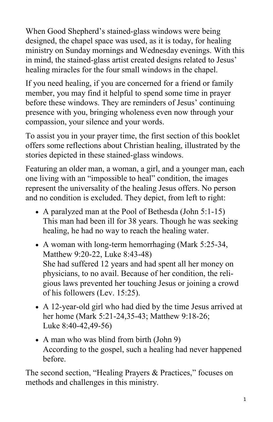When Good Shepherd's stained-glass windows were being designed, the chapel space was used, as it is today, for healing ministry on Sunday mornings and Wednesday evenings. With this in mind, the stained-glass artist created designs related to Jesus' healing miracles for the four small windows in the chapel.

If you need healing, if you are concerned for a friend or family member, you may find it helpful to spend some time in prayer before these windows. They are reminders of Jesus' continuing presence with you, bringing wholeness even now through your compassion, your silence and your words.

To assist you in your prayer time, the first section of this booklet offers some reflections about Christian healing, illustrated by the stories depicted in these stained-glass windows.

Featuring an older man, a woman, a girl, and a younger man, each one living with an "impossible to heal" condition, the images represent the universality of the healing Jesus offers. No person and no condition is excluded. They depict, from left to right:

- A paralyzed man at the Pool of Bethesda (John 5:1-15) This man had been ill for 38 years. Though he was seeking healing, he had no way to reach the healing water.
- A woman with long-term hemorrhaging (Mark 5:25-34, Matthew 9:20-22, Luke 8:43-48) She had suffered 12 years and had spent all her money on physicians, to no avail. Because of her condition, the religious laws prevented her touching Jesus or joining a crowd of his followers (Lev. 15:25).
- A 12-year-old girl who had died by the time Jesus arrived at her home (Mark 5:21-24,35-43; Matthew 9:18-26; Luke 8:40-42,49-56)
- A man who was blind from birth (John 9) According to the gospel, such a healing had never happened before.

The second section, "Healing Prayers & Practices," focuses on methods and challenges in this ministry.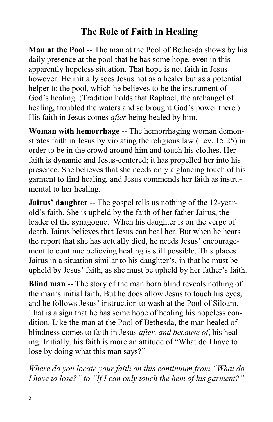#### **The Role of Faith in Healing**

**Man at the Pool** -- The man at the Pool of Bethesda shows by his daily presence at the pool that he has some hope, even in this apparently hopeless situation. That hope is not faith in Jesus however. He initially sees Jesus not as a healer but as a potential helper to the pool, which he believes to be the instrument of God's healing. (Tradition holds that Raphael, the archangel of healing, troubled the waters and so brought God's power there.) His faith in Jesus comes *after* being healed by him.

**Woman with hemorrhage** -- The hemorrhaging woman demonstrates faith in Jesus by violating the religious law (Lev. 15:25) in order to be in the crowd around him and touch his clothes. Her faith is dynamic and Jesus-centered; it has propelled her into his presence. She believes that she needs only a glancing touch of his garment to find healing, and Jesus commends her faith as instrumental to her healing.

**Jairus' daughter** -- The gospel tells us nothing of the 12-yearold's faith. She is upheld by the faith of her father Jairus, the leader of the synagogue. When his daughter is on the verge of death, Jairus believes that Jesus can heal her. But when he hears the report that she has actually died, he needs Jesus' encouragement to continue believing healing is still possible. This places Jairus in a situation similar to his daughter's, in that he must be upheld by Jesus' faith, as she must be upheld by her father's faith.

**Blind man** -- The story of the man born blind reveals nothing of the man's initial faith. But he does allow Jesus to touch his eyes, and he follows Jesus' instruction to wash at the Pool of Siloam. That is a sign that he has some hope of healing his hopeless condition. Like the man at the Pool of Bethesda, the man healed of blindness comes to faith in Jesus *after, and because of*, his healing*.* Initially, his faith is more an attitude of "What do I have to lose by doing what this man says?"

*Where do you locate your faith on this continuum from "What do I have to lose?" to "If I can only touch the hem of his garment?"*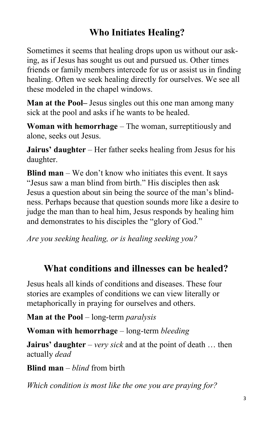## **Who Initiates Healing?**

Sometimes it seems that healing drops upon us without our asking, as if Jesus has sought us out and pursued us. Other times friends or family members intercede for us or assist us in finding healing. Often we seek healing directly for ourselves. We see all these modeled in the chapel windows.

**Man at the Pool–** Jesus singles out this one man among many sick at the pool and asks if he wants to be healed.

**Woman with hemorrhage** – The woman, surreptitiously and alone, seeks out Jesus.

**Jairus' daughter** – Her father seeks healing from Jesus for his daughter.

**Blind man** – We don't know who initiates this event. It says "Jesus saw a man blind from birth." His disciples then ask Jesus a question about sin being the source of the man's blindness. Perhaps because that question sounds more like a desire to judge the man than to heal him, Jesus responds by healing him and demonstrates to his disciples the "glory of God."

*Are you seeking healing, or is healing seeking you?*

#### **What conditions and illnesses can be healed?**

Jesus heals all kinds of conditions and diseases. These four stories are examples of conditions we can view literally or metaphorically in praying for ourselves and others.

**Man at the Pool** – long-term *paralysis*

**Woman with hemorrhage** – long-term *bleeding*

**Jairus' daughter** – *very sick* and at the point of death … then actually *dead*

**Blind man** – *blind* from birth

*Which condition is most like the one you are praying for?*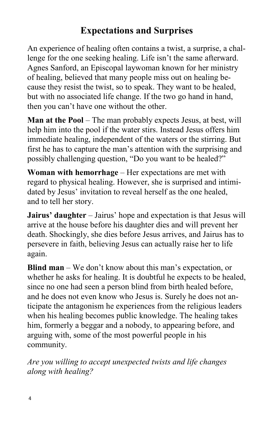#### **Expectations and Surprises**

An experience of healing often contains a twist, a surprise, a challenge for the one seeking healing. Life isn't the same afterward. Agnes Sanford, an Episcopal laywoman known for her ministry of healing, believed that many people miss out on healing because they resist the twist, so to speak. They want to be healed, but with no associated life change. If the two go hand in hand, then you can't have one without the other.

**Man at the Pool** – The man probably expects Jesus, at best, will help him into the pool if the water stirs. Instead Jesus offers him immediate healing, independent of the waters or the stirring. But first he has to capture the man's attention with the surprising and possibly challenging question, "Do you want to be healed?"

**Woman with hemorrhage** – Her expectations are met with regard to physical healing. However, she is surprised and intimidated by Jesus' invitation to reveal herself as the one healed, and to tell her story.

**Jairus' daughter** – Jairus' hope and expectation is that Jesus will arrive at the house before his daughter dies and will prevent her death. Shockingly, she dies before Jesus arrives, and Jairus has to persevere in faith, believing Jesus can actually raise her to life again.

**Blind man** – We don't know about this man's expectation, or whether he asks for healing. It is doubtful he expects to be healed, since no one had seen a person blind from birth healed before, and he does not even know who Jesus is. Surely he does not anticipate the antagonism he experiences from the religious leaders when his healing becomes public knowledge. The healing takes him, formerly a beggar and a nobody, to appearing before, and arguing with, some of the most powerful people in his community.

*Are you willing to accept unexpected twists and life changes along with healing?*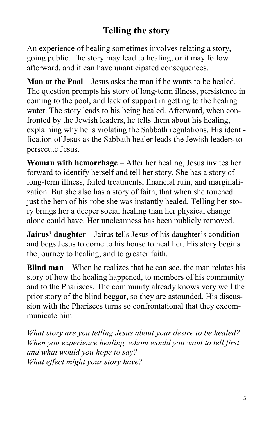#### **Telling the story**

An experience of healing sometimes involves relating a story, going public. The story may lead to healing, or it may follow afterward, and it can have unanticipated consequences.

**Man at the Pool** – Jesus asks the man if he wants to be healed. The question prompts his story of long-term illness, persistence in coming to the pool, and lack of support in getting to the healing water. The story leads to his being healed. Afterward, when confronted by the Jewish leaders, he tells them about his healing, explaining why he is violating the Sabbath regulations. His identification of Jesus as the Sabbath healer leads the Jewish leaders to persecute Jesus.

**Woman with hemorrhage** – After her healing, Jesus invites her forward to identify herself and tell her story. She has a story of long-term illness, failed treatments, financial ruin, and marginalization. But she also has a story of faith, that when she touched just the hem of his robe she was instantly healed. Telling her story brings her a deeper social healing than her physical change alone could have. Her uncleanness has been publicly removed.

**Jairus' daughter** – Jairus tells Jesus of his daughter's condition and begs Jesus to come to his house to heal her. His story begins the journey to healing, and to greater faith.

**Blind man** – When he realizes that he can see, the man relates his story of how the healing happened, to members of his community and to the Pharisees. The community already knows very well the prior story of the blind beggar, so they are astounded. His discussion with the Pharisees turns so confrontational that they excommunicate him.

*What story are you telling Jesus about your desire to be healed? When you experience healing, whom would you want to tell first, and what would you hope to say? What effect might your story have?*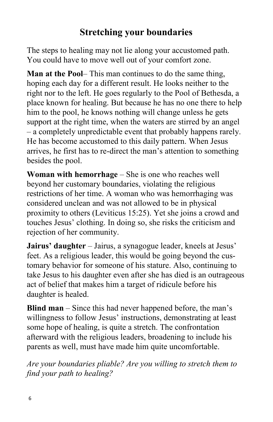#### **Stretching your boundaries**

The steps to healing may not lie along your accustomed path. You could have to move well out of your comfort zone.

**Man at the Pool**– This man continues to do the same thing, hoping each day for a different result. He looks neither to the right nor to the left. He goes regularly to the Pool of Bethesda, a place known for healing. But because he has no one there to help him to the pool, he knows nothing will change unless he gets support at the right time, when the waters are stirred by an angel – a completely unpredictable event that probably happens rarely. He has become accustomed to this daily pattern. When Jesus arrives, he first has to re-direct the man's attention to something besides the pool.

**Woman with hemorrhage** – She is one who reaches well beyond her customary boundaries, violating the religious restrictions of her time. A woman who was hemorrhaging was considered unclean and was not allowed to be in physical proximity to others (Leviticus 15:25). Yet she joins a crowd and touches Jesus' clothing. In doing so, she risks the criticism and rejection of her community.

**Jairus' daughter** – Jairus, a synagogue leader, kneels at Jesus' feet. As a religious leader, this would be going beyond the customary behavior for someone of his stature. Also, continuing to take Jesus to his daughter even after she has died is an outrageous act of belief that makes him a target of ridicule before his daughter is healed.

**Blind man** – Since this had never happened before, the man's willingness to follow Jesus' instructions, demonstrating at least some hope of healing, is quite a stretch. The confrontation afterward with the religious leaders, broadening to include his parents as well, must have made him quite uncomfortable.

*Are your boundaries pliable? Are you willing to stretch them to find your path to healing?*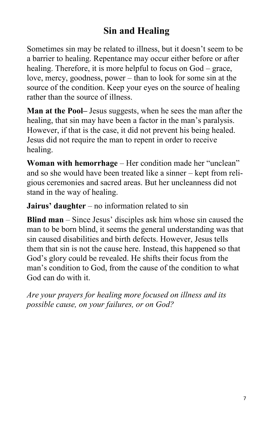### **Sin and Healing**

Sometimes sin may be related to illness, but it doesn't seem to be a barrier to healing. Repentance may occur either before or after healing. Therefore, it is more helpful to focus on God – grace, love, mercy, goodness, power – than to look for some sin at the source of the condition. Keep your eyes on the source of healing rather than the source of illness.

**Man at the Pool–** Jesus suggests, when he sees the man after the healing, that sin may have been a factor in the man's paralysis. However, if that is the case, it did not prevent his being healed. Jesus did not require the man to repent in order to receive healing.

**Woman with hemorrhage** – Her condition made her "unclean" and so she would have been treated like a sinner – kept from religious ceremonies and sacred areas. But her uncleanness did not stand in the way of healing.

**Jairus' daughter** – no information related to sin

**Blind man** – Since Jesus' disciples ask him whose sin caused the man to be born blind, it seems the general understanding was that sin caused disabilities and birth defects. However, Jesus tells them that sin is not the cause here. Instead, this happened so that God's glory could be revealed. He shifts their focus from the man's condition to God, from the cause of the condition to what God can do with it.

*Are your prayers for healing more focused on illness and its possible cause, on your failures, or on God?*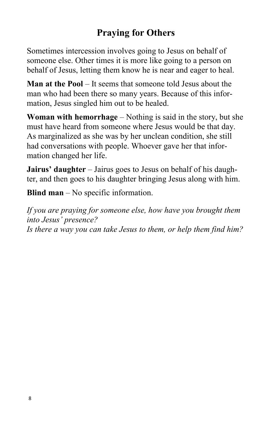## **Praying for Others**

Sometimes intercession involves going to Jesus on behalf of someone else. Other times it is more like going to a person on behalf of Jesus, letting them know he is near and eager to heal.

**Man at the Pool** – It seems that someone told Jesus about the man who had been there so many years. Because of this information, Jesus singled him out to be healed.

**Woman with hemorrhage** – Nothing is said in the story, but she must have heard from someone where Jesus would be that day. As marginalized as she was by her unclean condition, she still had conversations with people. Whoever gave her that information changed her life.

**Jairus' daughter** – Jairus goes to Jesus on behalf of his daughter, and then goes to his daughter bringing Jesus along with him.

**Blind man** – No specific information.

*If you are praying for someone else, how have you brought them into Jesus' presence? Is there a way you can take Jesus to them, or help them find him?*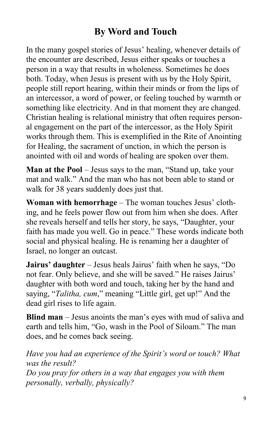#### **By Word and Touch**

In the many gospel stories of Jesus' healing, whenever details of the encounter are described, Jesus either speaks or touches a person in a way that results in wholeness. Sometimes he does both. Today, when Jesus is present with us by the Holy Spirit, people still report hearing, within their minds or from the lips of an intercessor, a word of power, or feeling touched by warmth or something like electricity. And in that moment they are changed. Christian healing is relational ministry that often requires personal engagement on the part of the intercessor, as the Holy Spirit works through them. This is exemplified in the Rite of Anointing for Healing, the sacrament of unction, in which the person is anointed with oil and words of healing are spoken over them.

Man at the Pool – Jesus says to the man, "Stand up, take your mat and walk." And the man who has not been able to stand or walk for 38 years suddenly does just that.

**Woman with hemorrhage** – The woman touches Jesus' clothing, and he feels power flow out from him when she does. After she reveals herself and tells her story, he says, "Daughter, your faith has made you well. Go in peace." These words indicate both social and physical healing. He is renaming her a daughter of Israel, no longer an outcast.

**Jairus' daughter** – Jesus heals Jairus' faith when he says, "Do not fear. Only believe, and she will be saved." He raises Jairus' daughter with both word and touch, taking her by the hand and saying, "*Talitha, cum*," meaning "Little girl, get up!" And the dead girl rises to life again.

**Blind man** – Jesus anoints the man's eyes with mud of saliva and earth and tells him, "Go, wash in the Pool of Siloam." The man does, and he comes back seeing.

*Have you had an experience of the Spirit's word or touch? What was the result? Do you pray for others in a way that engages you with them personally, verbally, physically?*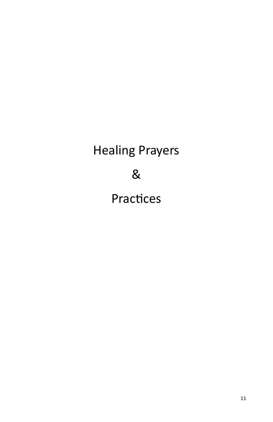# Healing Prayers & Practices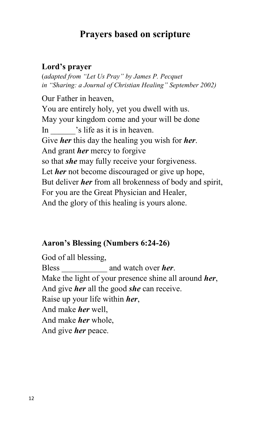#### **Prayers based on scripture**

#### **Lord's prayer**

(*adapted from "Let Us Pray" by James P. Pecquet in "Sharing: a Journal of Christian Healing" September 2002)*

Our Father in heaven, You are entirely holy, yet you dwell with us. May your kingdom come and your will be done In  $\cdot$  's life as it is in heaven. Give *her* this day the healing you wish for *her*. And grant *her* mercy to forgive so that *she* may fully receive your forgiveness. Let *her* not become discouraged or give up hope, But deliver *her* from all brokenness of body and spirit, For you are the Great Physician and Healer, And the glory of this healing is yours alone.

#### **Aaron's Blessing (Numbers 6:24-26)**

God of all blessing, Bless and watch over *her*. Make the light of your presence shine all around *her*, And give *her* all the good *she* can receive. Raise up your life within *her*, And make *her* well, And make *her* whole, And give *her* peace.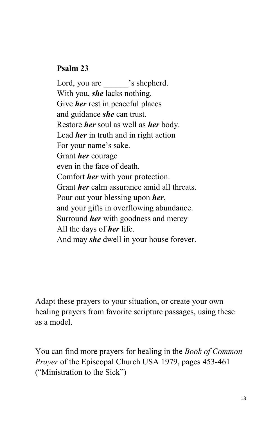#### **Psalm 23**

Lord, you are  $\qquad$  's shepherd. With you, *she* lacks nothing. Give *her* rest in peaceful places and guidance *she* can trust. Restore *her* soul as well as *her* body. Lead *her* in truth and in right action For your name's sake. Grant *her* courage even in the face of death. Comfort *her* with your protection. Grant *her* calm assurance amid all threats. Pour out your blessing upon *her*, and your gifts in overflowing abundance. Surround *her* with goodness and mercy All the days of *her* life. And may *she* dwell in your house forever.

Adapt these prayers to your situation, or create your own healing prayers from favorite scripture passages, using these as a model.

You can find more prayers for healing in the *Book of Common Prayer* of the Episcopal Church USA 1979, pages 453-461 ("Ministration to the Sick")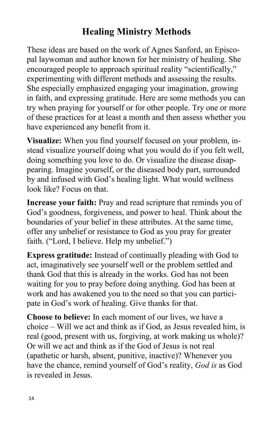#### **Healing Ministry Methods**

These ideas are based on the work of Agnes Sanford, an Episcopal laywoman and author known for her ministry of healing. She encouraged people to approach spiritual reality "scientifically," experimenting with different methods and assessing the results. She especially emphasized engaging your imagination, growing in faith, and expressing gratitude. Here are some methods you can try when praying for yourself or for other people. Try one or more of these practices for at least a month and then assess whether you have experienced any benefit from it.

**Visualize:** When you find yourself focused on your problem, instead visualize yourself doing what you would do if you felt well, doing something you love to do. Or visualize the disease disappearing. Imagine yourself, or the diseased body part, surrounded by and infused with God's healing light. What would wellness look like? Focus on that.

**Increase your faith:** Pray and read scripture that reminds you of God's goodness, forgiveness, and power to heal. Think about the boundaries of your belief in these attributes. At the same time, offer any unbelief or resistance to God as you pray for greater faith. ("Lord, I believe. Help my unbelief.")

**Express gratitude:** Instead of continually pleading with God to act, imaginatively see yourself well or the problem settled and thank God that this is already in the works. God has not been waiting for you to pray before doing anything. God has been at work and has awakened you to the need so that you can participate in God's work of healing. Give thanks for that.

**Choose to believe:** In each moment of our lives, we have a choice – Will we act and think as if God, as Jesus revealed him, is real (good, present with us, forgiving, at work making us whole)? Or will we act and think as if the God of Jesus is not real (apathetic or harsh, absent, punitive, inactive)? Whenever you have the chance, remind yourself of God's reality, *God is* as God is revealed in Jesus.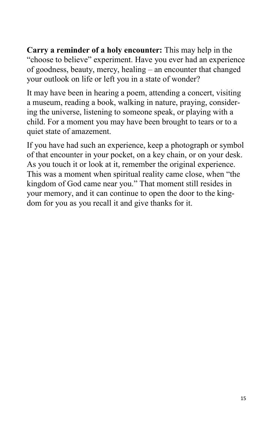**Carry a reminder of a holy encounter:** This may help in the "choose to believe" experiment. Have you ever had an experience of goodness, beauty, mercy, healing – an encounter that changed your outlook on life or left you in a state of wonder?

It may have been in hearing a poem, attending a concert, visiting a museum, reading a book, walking in nature, praying, considering the universe, listening to someone speak, or playing with a child. For a moment you may have been brought to tears or to a quiet state of amazement.

If you have had such an experience, keep a photograph or symbol of that encounter in your pocket, on a key chain, or on your desk. As you touch it or look at it, remember the original experience. This was a moment when spiritual reality came close, when "the kingdom of God came near you." That moment still resides in your memory, and it can continue to open the door to the kingdom for you as you recall it and give thanks for it.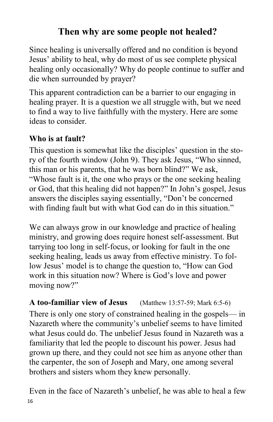### **Then why are some people not healed?**

Since healing is universally offered and no condition is beyond Jesus' ability to heal, why do most of us see complete physical healing only occasionally? Why do people continue to suffer and die when surrounded by prayer?

This apparent contradiction can be a barrier to our engaging in healing prayer. It is a question we all struggle with, but we need to find a way to live faithfully with the mystery. Here are some ideas to consider.

#### **Who is at fault?**

This question is somewhat like the disciples' question in the story of the fourth window (John 9). They ask Jesus, "Who sinned, this man or his parents, that he was born blind?" We ask, "Whose fault is it, the one who prays or the one seeking healing or God, that this healing did not happen?" In John's gospel, Jesus answers the disciples saying essentially, "Don't be concerned with finding fault but with what God can do in this situation."

We can always grow in our knowledge and practice of healing ministry, and growing does require honest self-assessment. But tarrying too long in self-focus, or looking for fault in the one seeking healing, leads us away from effective ministry. To follow Jesus' model is to change the question to, "How can God work in this situation now? Where is God's love and power moving now?"

**A too-familiar view of Jesus** (Matthew 13:57-59; Mark 6:5-6) There is only one story of constrained healing in the gospels— in Nazareth where the community's unbelief seems to have limited what Jesus could do. The unbelief Jesus found in Nazareth was a familiarity that led the people to discount his power. Jesus had grown up there, and they could not see him as anyone other than the carpenter, the son of Joseph and Mary, one among several brothers and sisters whom they knew personally.

Even in the face of Nazareth's unbelief, he was able to heal a few